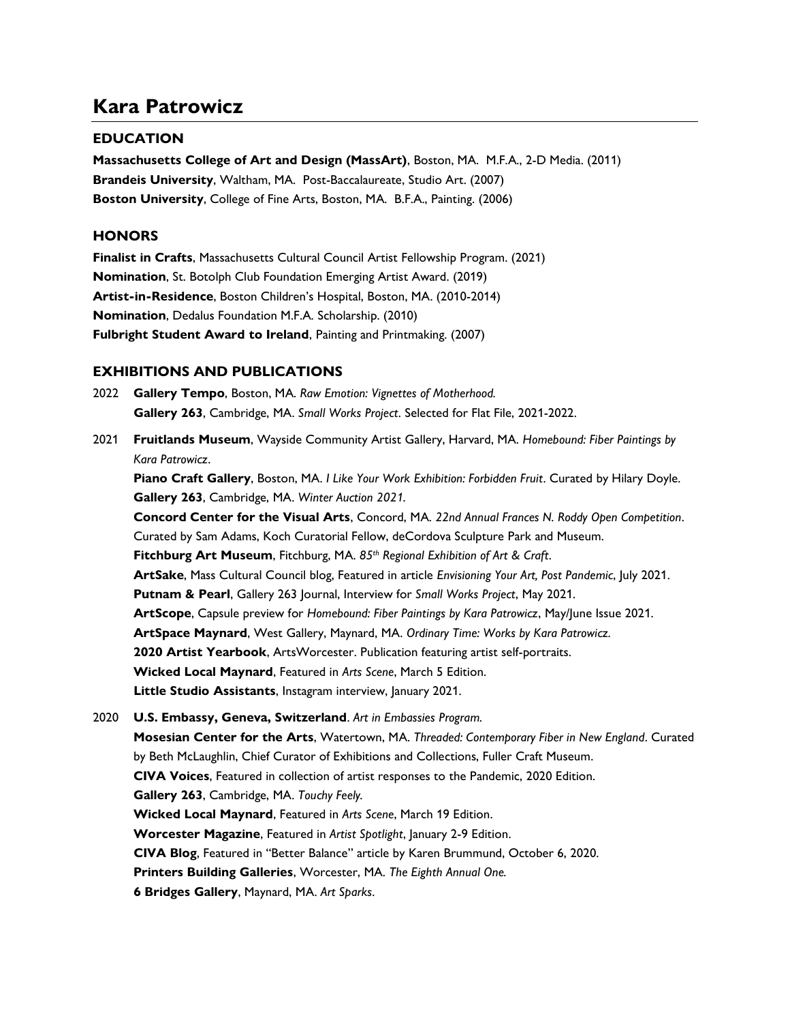# Kara Patrowicz

## **EDUCATION**

Massachusetts College of Art and Design (MassArt), Boston, MA. M.F.A., 2-D Media. (2011) Brandeis University, Waltham, MA. Post-Baccalaureate, Studio Art. (2007) Boston University, College of Fine Arts, Boston, MA. B.F.A., Painting. (2006)

#### **HONORS**

Finalist in Crafts, Massachusetts Cultural Council Artist Fellowship Program. (2021) Nomination, St. Botolph Club Foundation Emerging Artist Award. (2019) Artist-in-Residence, Boston Children's Hospital, Boston, MA. (2010-2014) Nomination, Dedalus Foundation M.F.A. Scholarship. (2010) Fulbright Student Award to Ireland, Painting and Printmaking. (2007)

## EXHIBITIONS AND PUBLICATIONS

- 2022 Gallery Tempo, Boston, MA. Raw Emotion: Vignettes of Motherhood. Gallery 263, Cambridge, MA. Small Works Project. Selected for Flat File, 2021-2022.
- 2021 Fruitlands Museum, Wayside Community Artist Gallery, Harvard, MA. Homebound: Fiber Paintings by Kara Patrowicz.

Piano Craft Gallery, Boston, MA. I Like Your Work Exhibition: Forbidden Fruit. Curated by Hilary Doyle. Gallery 263, Cambridge, MA. Winter Auction 2021.

Concord Center for the Visual Arts, Concord, MA. 22nd Annual Frances N. Roddy Open Competition. Curated by Sam Adams, Koch Curatorial Fellow, deCordova Sculpture Park and Museum. Fitchburg Art Museum, Fitchburg, MA. 85<sup>th</sup> Regional Exhibition of Art & Craft. ArtSake, Mass Cultural Council blog, Featured in article Envisioning Your Art, Post Pandemic, July 2021. Putnam & Pearl, Gallery 263 Journal, Interview for Small Works Project, May 2021. ArtScope, Capsule preview for Homebound: Fiber Paintings by Kara Patrowicz, May/June Issue 2021. ArtSpace Maynard, West Gallery, Maynard, MA. Ordinary Time: Works by Kara Patrowicz. 2020 Artist Yearbook, ArtsWorcester. Publication featuring artist self-portraits. Wicked Local Maynard, Featured in Arts Scene, March 5 Edition. Little Studio Assistants, Instagram interview, January 2021.

2020 U.S. Embassy, Geneva, Switzerland. Art in Embassies Program. Mosesian Center for the Arts, Watertown, MA. Threaded: Contemporary Fiber in New England. Curated by Beth McLaughlin, Chief Curator of Exhibitions and Collections, Fuller Craft Museum. CIVA Voices, Featured in collection of artist responses to the Pandemic, 2020 Edition. Gallery 263, Cambridge, MA. Touchy Feely. Wicked Local Maynard, Featured in Arts Scene, March 19 Edition. Worcester Magazine, Featured in Artist Spotlight, January 2-9 Edition. CIVA Blog, Featured in "Better Balance" article by Karen Brummund, October 6, 2020. Printers Building Galleries, Worcester, MA. The Eighth Annual One. 6 Bridges Gallery, Maynard, MA. Art Sparks.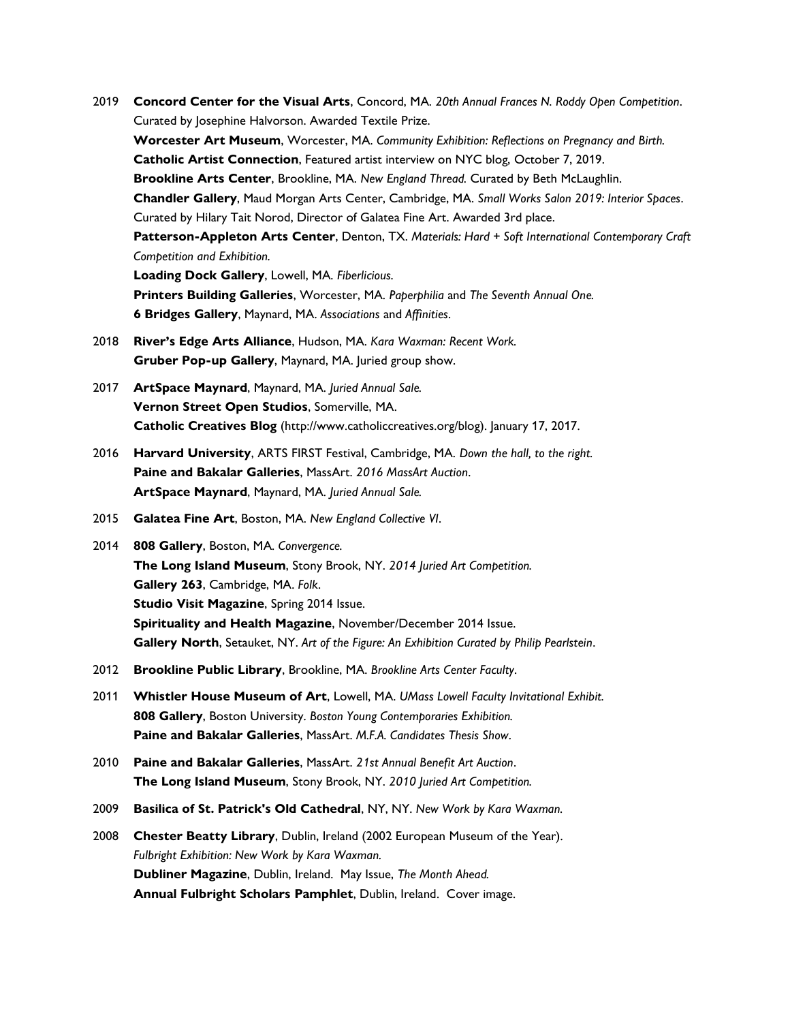- 2019 Concord Center for the Visual Arts, Concord, MA. 20th Annual Frances N. Roddy Open Competition. Curated by Josephine Halvorson. Awarded Textile Prize. Worcester Art Museum, Worcester, MA. Community Exhibition: Reflections on Pregnancy and Birth. Catholic Artist Connection, Featured artist interview on NYC blog, October 7, 2019. Brookline Arts Center, Brookline, MA. New England Thread. Curated by Beth McLaughlin. Chandler Gallery, Maud Morgan Arts Center, Cambridge, MA. Small Works Salon 2019: Interior Spaces. Curated by Hilary Tait Norod, Director of Galatea Fine Art. Awarded 3rd place. Patterson-Appleton Arts Center, Denton, TX. Materials: Hard + Soft International Contemporary Craft Competition and Exhibition. Loading Dock Gallery, Lowell, MA. Fiberlicious. Printers Building Galleries, Worcester, MA. Paperphilia and The Seventh Annual One. 6 Bridges Gallery, Maynard, MA. Associations and Affinities. 2018 River's Edge Arts Alliance, Hudson, MA. Kara Waxman: Recent Work.
- Gruber Pop-up Gallery, Maynard, MA. Juried group show.
- 2017 ArtSpace Maynard, Maynard, MA. Juried Annual Sale. Vernon Street Open Studios, Somerville, MA. Catholic Creatives Blog (http://www.catholiccreatives.org/blog). January 17, 2017.
- 2016 Harvard University, ARTS FIRST Festival, Cambridge, MA. Down the hall, to the right. Paine and Bakalar Galleries, MassArt. 2016 MassArt Auction. ArtSpace Maynard, Maynard, MA. Juried Annual Sale.
- 2015 Galatea Fine Art, Boston, MA. New England Collective VI.
- 2014 808 Gallery, Boston, MA. Convergence. The Long Island Museum, Stony Brook, NY. 2014 Juried Art Competition. Gallery 263, Cambridge, MA. Folk. Studio Visit Magazine, Spring 2014 Issue. Spirituality and Health Magazine, November/December 2014 Issue. Gallery North, Setauket, NY. Art of the Figure: An Exhibition Curated by Philip Pearlstein.
- 2012 Brookline Public Library, Brookline, MA. Brookline Arts Center Faculty.
- 2011 Whistler House Museum of Art, Lowell, MA. UMass Lowell Faculty Invitational Exhibit. 808 Gallery, Boston University. Boston Young Contemporaries Exhibition. Paine and Bakalar Galleries, MassArt. M.F.A. Candidates Thesis Show.
- 2010 Paine and Bakalar Galleries, MassArt. 21st Annual Benefit Art Auction. The Long Island Museum, Stony Brook, NY. 2010 Juried Art Competition.
- 2009 Basilica of St. Patrick's Old Cathedral, NY, NY. New Work by Kara Waxman.
- 2008 Chester Beatty Library, Dublin, Ireland (2002 European Museum of the Year). Fulbright Exhibition: New Work by Kara Waxman. Dubliner Magazine, Dublin, Ireland. May Issue, The Month Ahead. Annual Fulbright Scholars Pamphlet, Dublin, Ireland. Cover image.